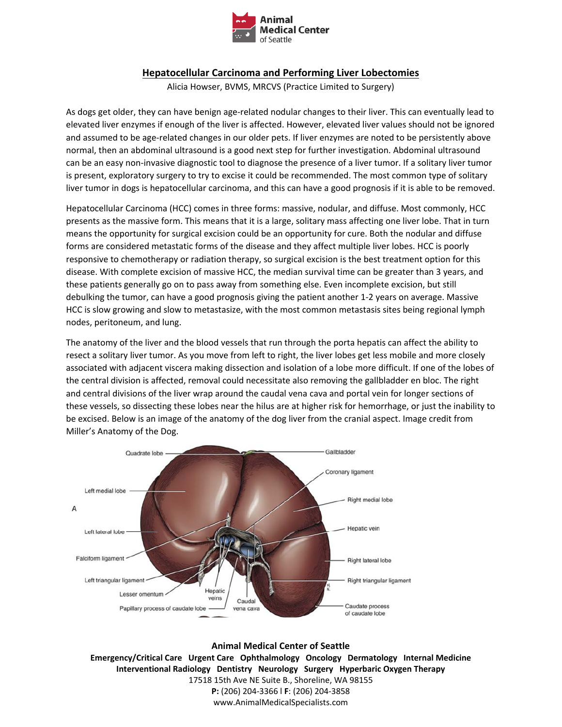

## **Hepatocellular Carcinoma and Performing Liver Lobectomies**

Alicia Howser, BVMS, MRCVS (Practice Limited to Surgery)

As dogs get older, they can have benign age-related nodular changes to their liver. This can eventually lead to elevated liver enzymes if enough of the liver is affected. However, elevated liver values should not be ignored and assumed to be age-related changes in our older pets. If liver enzymes are noted to be persistently above normal, then an abdominal ultrasound is a good next step for further investigation. Abdominal ultrasound can be an easy non‐invasive diagnostic tool to diagnose the presence of a liver tumor. If a solitary liver tumor is present, exploratory surgery to try to excise it could be recommended. The most common type of solitary liver tumor in dogs is hepatocellular carcinoma, and this can have a good prognosis if it is able to be removed.

Hepatocellular Carcinoma (HCC) comes in three forms: massive, nodular, and diffuse. Most commonly, HCC presents as the massive form. This means that it is a large, solitary mass affecting one liver lobe. That in turn means the opportunity for surgical excision could be an opportunity for cure. Both the nodular and diffuse forms are considered metastatic forms of the disease and they affect multiple liver lobes. HCC is poorly responsive to chemotherapy or radiation therapy, so surgical excision is the best treatment option for this disease. With complete excision of massive HCC, the median survival time can be greater than 3 years, and these patients generally go on to pass away from something else. Even incomplete excision, but still debulking the tumor, can have a good prognosis giving the patient another 1‐2 years on average. Massive HCC is slow growing and slow to metastasize, with the most common metastasis sites being regional lymph nodes, peritoneum, and lung.

The anatomy of the liver and the blood vessels that run through the porta hepatis can affect the ability to resect a solitary liver tumor. As you move from left to right, the liver lobes get less mobile and more closely associated with adjacent viscera making dissection and isolation of a lobe more difficult. If one of the lobes of the central division is affected, removal could necessitate also removing the gallbladder en bloc. The right and central divisions of the liver wrap around the caudal vena cava and portal vein for longer sections of these vessels, so dissecting these lobes near the hilus are at higher risk for hemorrhage, or just the inability to be excised. Below is an image of the anatomy of the dog liver from the cranial aspect. Image credit from Miller's Anatomy of the Dog.



**Animal Medical Center of Seattle Emergency/Critical Care Urgent Care Ophthalmology Oncology Dermatology Internal Medicine Interventional Radiology Dentistry Neurology Surgery Hyperbaric Oxygen Therapy**  17518 15th Ave NE Suite B., Shoreline, WA 98155 **P:** (206) 204‐3366 l **F**: (206) 204‐3858 www.AnimalMedicalSpecialists.com